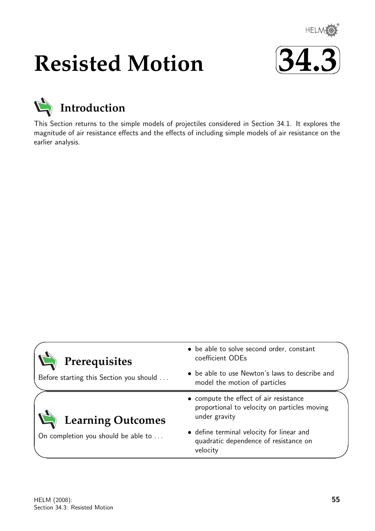

# **Resisted Motion**





This Section returns to the simple models of projectiles considered in Section 34.1. It explores the magnitude of air resistance effects and the effects of including simple models of air resistance on the earlier analysis.

| Prerequisites                           | • be able to solve second order, constant<br>coefficient ODEs                                           |
|-----------------------------------------|---------------------------------------------------------------------------------------------------------|
| Before starting this Section you should | • be able to use Newton's laws to describe and<br>model the motion of particles                         |
| <b>Learning Outcomes</b>                | • compute the effect of air resistance<br>proportional to velocity on particles moving<br>under gravity |
| On completion you should be able to     | • define terminal velocity for linear and<br>quadratic dependence of resistance on<br>velocity          |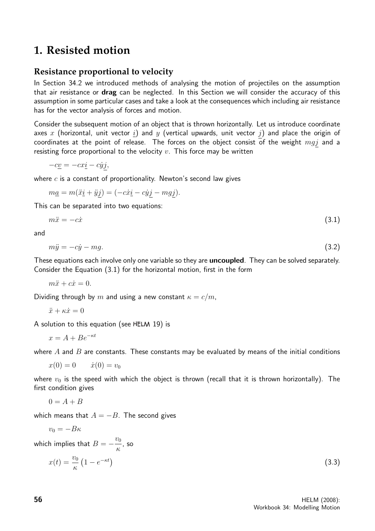# **1. Resisted motion**

## **Resistance proportional to velocity**

In Section 34.2 we introduced methods of analysing the motion of projectiles on the assumption that air resistance or **drag** can be neglected. In this Section we will consider the accuracy of this assumption in some particular cases and take a look at the consequences which including air resistance has for the vector analysis of forces and motion.

Consider the subsequent motion of an object that is thrown horizontally. Let us introduce coordinate axes x (horizontal, unit vector  $\underline{i}$ ) and y (vertical upwards, unit vector  $j$ ) and place the origin of coordinates at the point of release. The forces on the object consist of the weight  $mqj$  and a resisting force proportional to the velocity  $v$ . This force may be written

$$
-c\underline{v} = -cx\underline{i} - c\dot{y}\underline{j},
$$

where  $c$  is a constant of proportionality. Newton's second law gives

 $ma = m(\ddot{x}i + \ddot{y}j) = (-c\dot{x}i - c\dot{y}j - mqj).$ 

This can be separated into two equations:

$$
m\ddot{x} = -c\dot{x} \tag{3.1}
$$

and

$$
m\ddot{y} = -c\dot{y} - mg.\tag{3.2}
$$

These equations each involve only one variable so they are **uncoupled**. They can be solved separately. Consider the Equation (3.1) for the horizontal motion, first in the form

 $m\ddot{x} + c\dot{x} = 0.$ 

Dividing through by m and using a new constant  $\kappa = c/m$ ,

 $\ddot{x} + \kappa \dot{x} = 0$ 

A solution to this equation (see HELM 19) is

$$
x = A + Be^{-\kappa t}
$$

where  $A$  and  $B$  are constants. These constants may be evaluated by means of the initial conditions

$$
x(0) = 0 \qquad \dot{x}(0) = v_0
$$

where  $v_0$  is the speed with which the object is thrown (recall that it is thrown horizontally). The first condition gives

$$
0=A+B
$$

which means that  $A = -B$ . The second gives

$$
v_0 = -B\kappa
$$

which implies that  $B=-\frac{v_0}{c}$ κ , so

$$
x(t) = \frac{v_0}{\kappa} \left( 1 - e^{-\kappa t} \right) \tag{3.3}
$$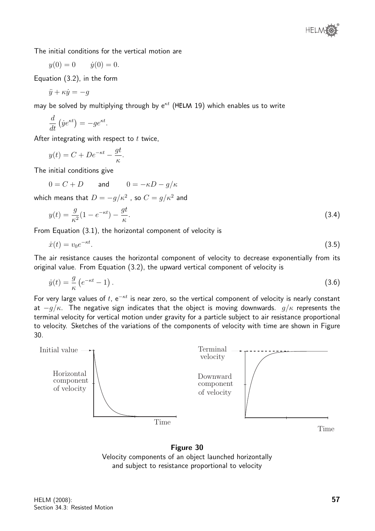The initial conditions for the vertical motion are

$$
y(0) = 0
$$
  $\dot{y}(0) = 0.$ 

Equation (3.2), in the form

$$
\ddot{y} + \kappa \dot{y} = -g
$$

may be solved by multiplying through by  $e^{kt}$  (HELM 19) which enables us to write

$$
\frac{d}{dt}(\dot{y}e^{\kappa t}) = -ge^{\kappa t}.
$$

After integrating with respect to  $t$  twice,

$$
y(t) = C + De^{-\kappa t} - \frac{gt}{\kappa}.
$$

The initial conditions give

$$
0 = C + D \qquad \text{and} \qquad 0 = -\kappa D - g/\kappa
$$

which means that  $D=-g/\kappa^2$  , so  $C=g/\kappa^2$  and

$$
y(t) = \frac{g}{\kappa^2} (1 - e^{-\kappa t}) - \frac{gt}{\kappa}.\tag{3.4}
$$

From Equation (3.1), the horizontal component of velocity is

$$
\dot{x}(t) = v_0 e^{-\kappa t}.\tag{3.5}
$$

The air resistance causes the horizontal component of velocity to decrease exponentially from its original value. From Equation (3.2), the upward vertical component of velocity is

$$
\dot{y}(t) = \frac{g}{\kappa} \left( e^{-\kappa t} - 1 \right). \tag{3.6}
$$

For very large values of t, e<sup> $-kt$ </sup> is near zero, so the vertical component of velocity is nearly constant at  $-q/\kappa$ . The negative sign indicates that the object is moving downwards.  $q/\kappa$  represents the terminal velocity for vertical motion under gravity for a particle subject to air resistance proportional to velocity. Sketches of the variations of the components of velocity with time are shown in Figure 30.



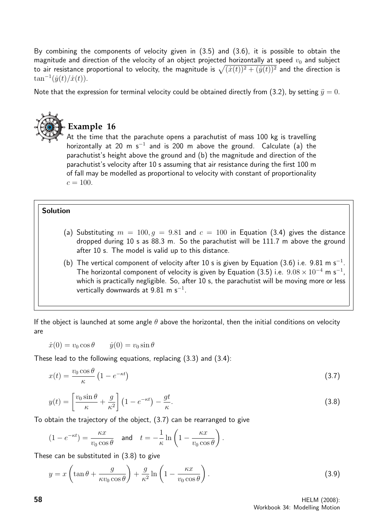By combining the components of velocity given in (3.5) and (3.6), it is possible to obtain the magnitude and direction of the velocity of an object projected horizontally at speed  $v_0$  and subject to air resistance proportional to velocity, the magnitude is  $\sqrt{(\dot{x}(t))^2 + (\dot{y}(t))^2}$  and the direction is  $\tan^{-1}(\dot{y}(t)/\dot{x}(t)).$ 

Note that the expression for terminal velocity could be obtained directly from (3.2), by setting  $\ddot{y} = 0$ .



## **Example 16**

At the time that the parachute opens a parachutist of mass 100 kg is travelling horizontally at 20 m s<sup>-1</sup> and is 200 m above the ground. Calculate (a) the parachutist's height above the ground and (b) the magnitude and direction of the parachutist's velocity after 10 s assuming that air resistance during the first 100 m of fall may be modelled as proportional to velocity with constant of proportionality  $c = 100$ .

#### Solution

- (a) Substituting  $m = 100, g = 9.81$  and  $c = 100$  in Equation (3.4) gives the distance dropped during 10 s as 88.3 m. So the parachutist will be 111.7 m above the ground after 10 s. The model is valid up to this distance.
- (b) The vertical component of velocity after 10 s is given by Equation (3.6) i.e. 9.81 m s<sup>-1</sup>. The horizontal component of velocity is given by Equation (3.5) i.e.  $9.08 \times 10^{-4}$  m s $^{-1}$ , which is practically negligible. So, after 10 s, the parachutist will be moving more or less vertically downwards at  $9.81\,$  m s $^{-1}.$

If the object is launched at some angle  $\theta$  above the horizontal, then the initial conditions on velocity are

$$
\dot{x}(0) = v_0 \cos \theta \qquad \dot{y}(0) = v_0 \sin \theta
$$

These lead to the following equations, replacing (3.3) and (3.4):

$$
x(t) = \frac{v_0 \cos \theta}{\kappa} \left( 1 - e^{-\kappa t} \right) \tag{3.7}
$$

$$
y(t) = \left[\frac{v_0 \sin \theta}{\kappa} + \frac{g}{\kappa^2}\right] \left(1 - e^{-\kappa t}\right) - \frac{gt}{\kappa}.\tag{3.8}
$$

To obtain the trajectory of the object, (3.7) can be rearranged to give

$$
(1 - e^{-\kappa t}) = \frac{\kappa x}{v_0 \cos \theta} \quad \text{and} \quad t = -\frac{1}{\kappa} \ln \left( 1 - \frac{\kappa x}{v_0 \cos \theta} \right).
$$

These can be substituted in (3.8) to give

$$
y = x \left( \tan \theta + \frac{g}{\kappa v_0 \cos \theta} \right) + \frac{g}{\kappa^2} \ln \left( 1 - \frac{\kappa x}{v_0 \cos \theta} \right). \tag{3.9}
$$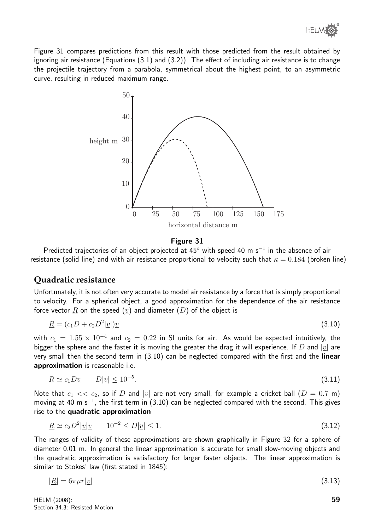

Figure 31 compares predictions from this result with those predicted from the result obtained by ignoring air resistance (Equations (3.1) and (3.2)). The effect of including air resistance is to change the projectile trajectory from a parabola, symmetrical about the highest point, to an asymmetric curve, resulting in reduced maximum range.



#### Figure 31

Predicted trajectories of an object projected at 45° with speed 40 m s<sup>-1</sup> in the absence of air resistance (solid line) and with air resistance proportional to velocity such that  $\kappa = 0.184$  (broken line)

#### **Quadratic resistance**

Unfortunately, it is not often very accurate to model air resistance by a force that is simply proportional to velocity. For a spherical object, a good approximation for the dependence of the air resistance force vector  $\underline{R}$  on the speed  $(\underline{v})$  and diameter  $(D)$  of the object is

$$
\underline{R} = (c_1 D + c_2 D^2 | \underline{v} |) \underline{v} \tag{3.10}
$$

with  $c_1\,=\,1.55\times 10^{-4}$  and  $c_2\,=\,0.22$  in SI units for air. As would be expected intuitively, the bigger the sphere and the faster it is moving the greater the drag it will experience. If D and  $|v|$  are very small then the second term in (3.10) can be neglected compared with the first and the linear approximation is reasonable i.e.

$$
\underline{R} \simeq c_1 D \underline{v} \qquad D|\underline{v}| \le 10^{-5}.\tag{3.11}
$$

Note that  $c_1 \ll c_2$ , so if D and  $|v|$  are not very small, for example a cricket ball  $(D = 0.7 \text{ m})$ moving at 40 m s<sup>-1</sup>, the first term in (3.10) can be neglected compared with the second. This gives rise to the quadratic approximation

$$
\underline{R} \simeq c_2 D^2 |\underline{v}| \underline{v} \qquad 10^{-2} \le D |\underline{v}| \le 1. \tag{3.12}
$$

The ranges of validity of these approximations are shown graphically in Figure 32 for a sphere of diameter 0.01 m. In general the linear approximation is accurate for small slow-moving objects and the quadratic approximation is satisfactory for larger faster objects. The linear approximation is similar to Stokes' law (first stated in 1845):

$$
|\underline{R}| = 6\pi\mu r|\underline{v}| \tag{3.13}
$$

HELM (2008): Section 34.3: Resisted Motion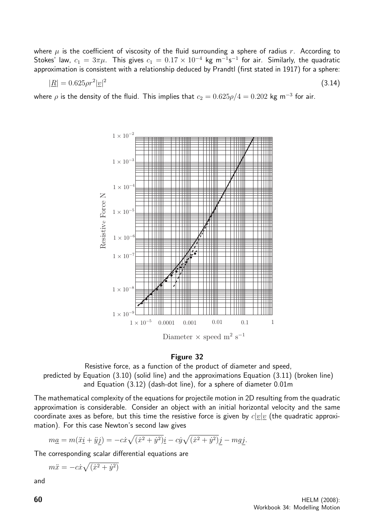where  $\mu$  is the coefficient of viscosity of the fluid surrounding a sphere of radius r. According to Stokes' law,  $c_1 = 3\pi\mu$ . This gives  $c_1 = 0.17 \times 10^{-4}$  kg m<sup>-1</sup>s<sup>-1</sup> for air. Similarly, the quadratic approximation is consistent with a relationship deduced by Prandtl (first stated in 1917) for a sphere:

$$
|\underline{R}| = 0.625 \rho r^2 |\underline{v}|^2 \tag{3.14}
$$

where  $\rho$  is the density of the fluid. This implies that  $c_2 = 0.625\rho/4 = 0.202$  kg m $^{-3}$  for air.



#### Figure 32

Resistive force, as a function of the product of diameter and speed, predicted by Equation (3.10) (solid line) and the approximations Equation (3.11) (broken line) and Equation (3.12) (dash-dot line), for a sphere of diameter 0.01m

The mathematical complexity of the equations for projectile motion in 2D resulting from the quadratic approximation is considerable. Consider an object with an initial horizontal velocity and the same coordinate axes as before, but this time the resistive force is given by  $c|v|v$  (the quadratic approximation). For this case Newton's second law gives

$$
m\underline{a} = m(\ddot{x}\underline{i} + \ddot{y}\underline{j}) = -c\dot{x}\sqrt{(\dot{x}^2 + \dot{y}^2)}\underline{i} - c\dot{y}\sqrt{(\dot{x}^2 + \dot{y}^2)}\underline{j} - mg\underline{j}.
$$

The corresponding scalar differential equations are

$$
m\ddot{x} = -c\dot{x}\sqrt{(\dot{x}^2 + \dot{y}^2)}
$$

and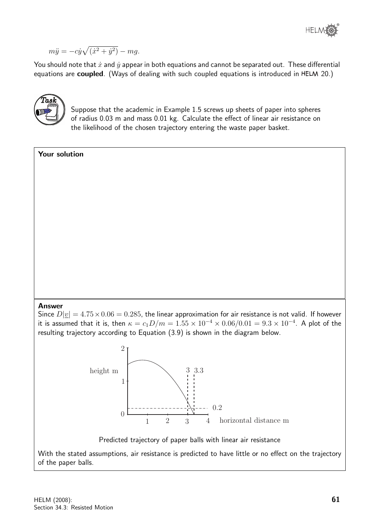

$$
m\ddot{y} = -c\dot{y}\sqrt{(\dot{x}^2 + \dot{y}^2)} - mg.
$$

You should note that  $\dot{x}$  and  $\dot{y}$  appear in both equations and cannot be separated out. These differential equations are coupled. (Ways of dealing with such coupled equations is introduced in HELM 20.)



Suppose that the academic in Example 1.5 screws up sheets of paper into spheres of radius 0.03 m and mass 0.01 kg. Calculate the effect of linear air resistance on the likelihood of the chosen trajectory entering the waste paper basket.

| Your solution                                                                                                                                                                                                                                                                                                                                                   |  |
|-----------------------------------------------------------------------------------------------------------------------------------------------------------------------------------------------------------------------------------------------------------------------------------------------------------------------------------------------------------------|--|
|                                                                                                                                                                                                                                                                                                                                                                 |  |
|                                                                                                                                                                                                                                                                                                                                                                 |  |
|                                                                                                                                                                                                                                                                                                                                                                 |  |
|                                                                                                                                                                                                                                                                                                                                                                 |  |
|                                                                                                                                                                                                                                                                                                                                                                 |  |
|                                                                                                                                                                                                                                                                                                                                                                 |  |
|                                                                                                                                                                                                                                                                                                                                                                 |  |
|                                                                                                                                                                                                                                                                                                                                                                 |  |
|                                                                                                                                                                                                                                                                                                                                                                 |  |
|                                                                                                                                                                                                                                                                                                                                                                 |  |
| <b>Answer</b><br>Since $D \underline{v}  = 4.75 \times 0.06 = 0.285$ , the linear approximation for air resistance is not valid. If however<br>it is assumed that it is, then $\kappa = c_1 D/m = 1.55 \times 10^{-4} \times 0.06/0.01 = 9.3 \times 10^{-4}$ . A plot of the<br>resulting trajectory according to Equation (3.9) is shown in the diagram below. |  |
| $\overline{2}$                                                                                                                                                                                                                                                                                                                                                  |  |
|                                                                                                                                                                                                                                                                                                                                                                 |  |
| height m<br>3.3<br>1                                                                                                                                                                                                                                                                                                                                            |  |
|                                                                                                                                                                                                                                                                                                                                                                 |  |
| 0.2                                                                                                                                                                                                                                                                                                                                                             |  |
| $\theta$<br>$\overline{2}$<br>horizontal distance m<br>3<br>$\overline{4}$<br>$\mathbf{1}$                                                                                                                                                                                                                                                                      |  |
| Predicted trajectory of paper balls with linear air resistance                                                                                                                                                                                                                                                                                                  |  |
| With the stated assumptions, air resistance is predicted to have little or no effect on the trajectory                                                                                                                                                                                                                                                          |  |

of the paper balls.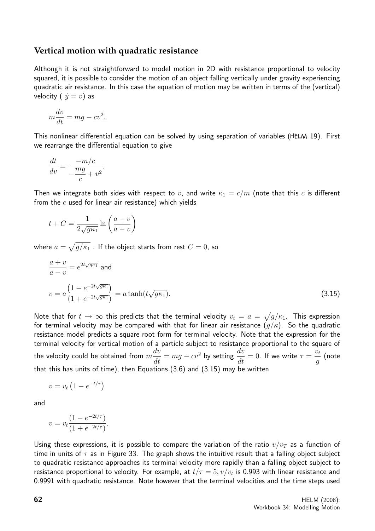### **Vertical motion with quadratic resistance**

Although it is not straightforward to model motion in 2D with resistance proportional to velocity squared, it is possible to consider the motion of an object falling vertically under gravity experiencing quadratic air resistance. In this case the equation of motion may be written in terms of the (vertical) velocity (  $\dot{y} = v$ ) as

$$
m\frac{dv}{dt} = mg - cv^2.
$$

This nonlinear differential equation can be solved by using separation of variables (HELM 19). First we rearrange the differential equation to give

$$
\frac{dt}{dv} = \frac{-m/c}{-\frac{mg}{c} + v^2}.
$$

Then we integrate both sides with respect to v, and write  $\kappa_1 = c/m$  (note that this c is different from the  $c$  used for linear air resistance) which yields

$$
t + C = \frac{1}{2\sqrt{g\kappa_1}} \ln\left(\frac{a+v}{a-v}\right)
$$

where  $a=\sqrt{g/\kappa_1}$  . If the object starts from rest  $C=0$ , so

$$
\frac{a+v}{a-v} = e^{2t\sqrt{g\kappa_1}} \text{ and}
$$
  

$$
v = a \frac{\left(1 - e^{-2t\sqrt{g\kappa_1}}\right)}{\left(1 + e^{-2t\sqrt{g\kappa_1}}\right)} = a \tanh(t\sqrt{g\kappa_1}).
$$
\n(3.15)

Note that for  $t\to\infty$  this predicts that the terminal velocity  $v_t\,=\,a\,=\,\sqrt{g/\kappa_1}.$  This expression for terminal velocity may be compared with that for linear air resistance  $(g/\kappa)$ . So the quadratic resistance model predicts a square root form for terminal velocity. Note that the expression for the terminal velocity for vertical motion of a particle subject to resistance proportional to the square of the velocity could be obtained from  $m$  $\frac{dv}{dt} = mg - cv^2$  by setting  $\frac{dv}{dt} = 0$ . If we write  $\tau =$  $\dot{v}_t$ g (note that this has units of time), then Equations (3.6) and (3.15) may be written

$$
v = v_t \left( 1 - e^{-t/\tau} \right)
$$

and

$$
v = v_t \frac{(1 - e^{-2t/\tau})}{(1 + e^{-2t/\tau})}.
$$

Using these expressions, it is possible to compare the variation of the ratio  $v/v<sub>T</sub>$  as a function of time in units of  $\tau$  as in Figure 33. The graph shows the intuitive result that a falling object subject to quadratic resistance approaches its terminal velocity more rapidly than a falling object subject to resistance proportional to velocity. For example, at  $t/\tau=5, v/v_t$  is 0.993 with linear resistance and 0.9991 with quadratic resistance. Note however that the terminal velocities and the time steps used